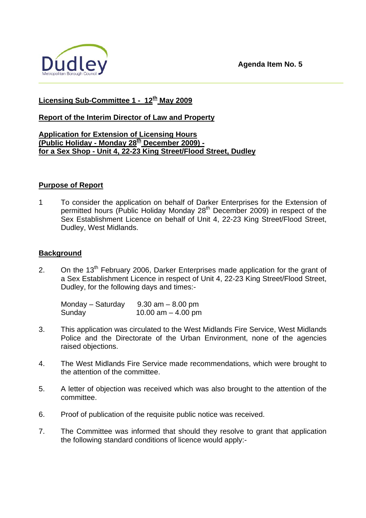

# **Licensing Sub-Committee 1 - 12th May 2009**

## **Report of the Interim Director of Law and Property**

## **Application for Extension of Licensing Hours (Public Holiday - Monday 28th December 2009) for a Sex Shop - Unit 4, 22-23 King Street/Flood Street, Dudley**

## **Purpose of Report**

1 To consider the application on behalf of Darker Enterprises for the Extension of permitted hours (Public Holiday Monday 28<sup>th</sup> December 2009) in respect of the Sex Establishment Licence on behalf of Unit 4, 22-23 King Street/Flood Street, Dudley, West Midlands.

## **Background**

2. On the 13<sup>th</sup> February 2006, Darker Enterprises made application for the grant of a Sex Establishment Licence in respect of Unit 4, 22-23 King Street/Flood Street, Dudley, for the following days and times:-

| Monday - Saturday | $9.30$ am $-8.00$ pm |
|-------------------|----------------------|
| Sunday            | 10.00 am $-$ 4.00 pm |

- 3. This application was circulated to the West Midlands Fire Service, West Midlands Police and the Directorate of the Urban Environment, none of the agencies raised objections.
- 4. The West Midlands Fire Service made recommendations, which were brought to the attention of the committee.
- 5. A letter of objection was received which was also brought to the attention of the committee.
- 6. Proof of publication of the requisite public notice was received.
- 7. The Committee was informed that should they resolve to grant that application the following standard conditions of licence would apply:-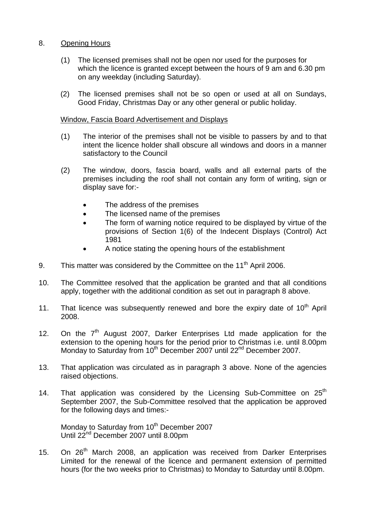## 8. Opening Hours

- (1) The licensed premises shall not be open nor used for the purposes for which the licence is granted except between the hours of 9 am and 6.30 pm on any weekday (including Saturday).
- (2) The licensed premises shall not be so open or used at all on Sundays, Good Friday, Christmas Day or any other general or public holiday.

## Window, Fascia Board Advertisement and Displays

- (1) The interior of the premises shall not be visible to passers by and to that intent the licence holder shall obscure all windows and doors in a manner satisfactory to the Council
- (2) The window, doors, fascia board, walls and all external parts of the premises including the roof shall not contain any form of writing, sign or display save for:-
	- The address of the premises
	- The licensed name of the premises
	- The form of warning notice required to be displayed by virtue of the provisions of Section 1(6) of the Indecent Displays (Control) Act 1981
	- A notice stating the opening hours of the establishment
- 9. This matter was considered by the Committee on the  $11<sup>th</sup>$  April 2006.
- 10. The Committee resolved that the application be granted and that all conditions apply, together with the additional condition as set out in paragraph 8 above.
- 11. That licence was subsequently renewed and bore the expiry date of  $10<sup>th</sup>$  April 2008.
- 12. On the  $7<sup>th</sup>$  August 2007, Darker Enterprises Ltd made application for the extension to the opening hours for the period prior to Christmas i.e. until 8.00pm Monday to Saturday from 10<sup>th</sup> December 2007 until 22<sup>nd</sup> December 2007.
- 13. That application was circulated as in paragraph 3 above. None of the agencies raised objections.
- 14. That application was considered by the Licensing Sub-Committee on  $25<sup>th</sup>$ September 2007, the Sub-Committee resolved that the application be approved for the following days and times:-

Monday to Saturday from 10<sup>th</sup> December 2007 Until 22<sup>nd</sup> December 2007 until 8.00pm

15. On 26<sup>th</sup> March 2008, an application was received from Darker Enterprises Limited for the renewal of the licence and permanent extension of permitted hours (for the two weeks prior to Christmas) to Monday to Saturday until 8.00pm.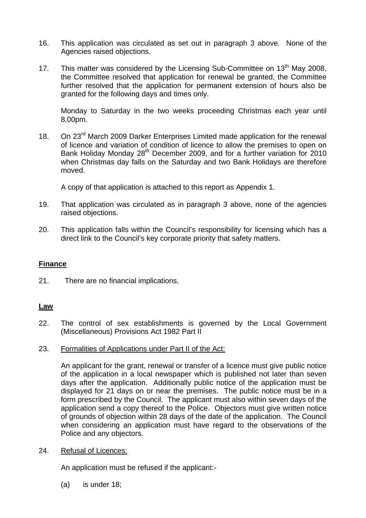- 16. This application was circulated as set out in paragraph 3 above. None of the Agencies raised objections.
- 17. This matter was considered by the Licensing Sub-Committee on 13<sup>th</sup> May 2008, the Committee resolved that application for renewal be granted, the Committee further resolved that the application for permanent extension of hours also be granted for the following days and times only.

 Monday to Saturday in the two weeks proceeding Christmas each year until 8.00pm.

18. On 23<sup>rd</sup> March 2009 Darker Enterprises Limited made application for the renewal of licence and variation of condition of licence to allow the premises to open on Bank Holiday Monday 28<sup>th</sup> December 2009, and for a further variation for 2010 when Christmas day falls on the Saturday and two Bank Holidays are therefore moved.

A copy of that application is attached to this report as Appendix 1.

- 19. That application was circulated as in paragraph 3 above, none of the agencies raised objections.
- 20. This application falls within the Council's responsibility for licensing which has a direct link to the Council's key corporate priority that safety matters.

# **Finance**

21. There are no financial implications.

## **Law**

22. The control of sex establishments is governed by the Local Government (Miscellaneous) Provisions Act 1982 Part II

#### 23. Formalities of Applications under Part II of the Act:

An applicant for the grant, renewal or transfer of a licence must give public notice of the application in a local newspaper which is published not later than seven days after the application. Additionally public notice of the application must be displayed for 21 days on or near the premises. The public notice must be in a form prescribed by the Council. The applicant must also within seven days of the application send a copy thereof to the Police. Objectors must give written notice of grounds of objection within 28 days of the date of the application. The Council when considering an application must have regard to the observations of the Police and any objectors.

## 24. Refusal of Licences:

An application must be refused if the applicant:-

(a) is under 18;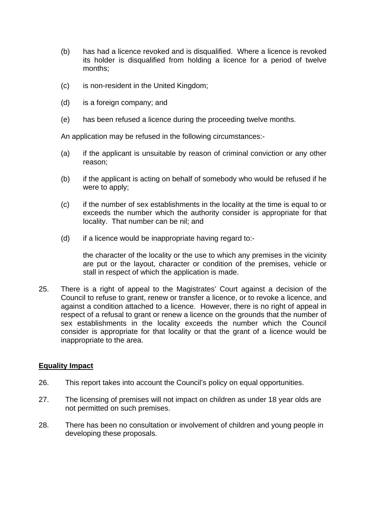- (b) has had a licence revoked and is disqualified. Where a licence is revoked its holder is disqualified from holding a licence for a period of twelve months;
- (c) is non-resident in the United Kingdom;
- (d) is a foreign company; and
- (e) has been refused a licence during the proceeding twelve months.

An application may be refused in the following circumstances:-

- (a) if the applicant is unsuitable by reason of criminal conviction or any other reason;
- (b) if the applicant is acting on behalf of somebody who would be refused if he were to apply;
- (c) if the number of sex establishments in the locality at the time is equal to or exceeds the number which the authority consider is appropriate for that locality. That number can be nil; and
- (d) if a licence would be inappropriate having regard to:-

the character of the locality or the use to which any premises in the vicinity are put or the layout, character or condition of the premises, vehicle or stall in respect of which the application is made.

25. There is a right of appeal to the Magistrates' Court against a decision of the Council to refuse to grant, renew or transfer a licence, or to revoke a licence, and against a condition attached to a licence. However, there is no right of appeal in respect of a refusal to grant or renew a licence on the grounds that the number of sex establishments in the locality exceeds the number which the Council consider is appropriate for that locality or that the grant of a licence would be inappropriate to the area.

# **Equality Impact**

- 26. This report takes into account the Council's policy on equal opportunities.
- 27. The licensing of premises will not impact on children as under 18 year olds are not permitted on such premises.
- 28. There has been no consultation or involvement of children and young people in developing these proposals.